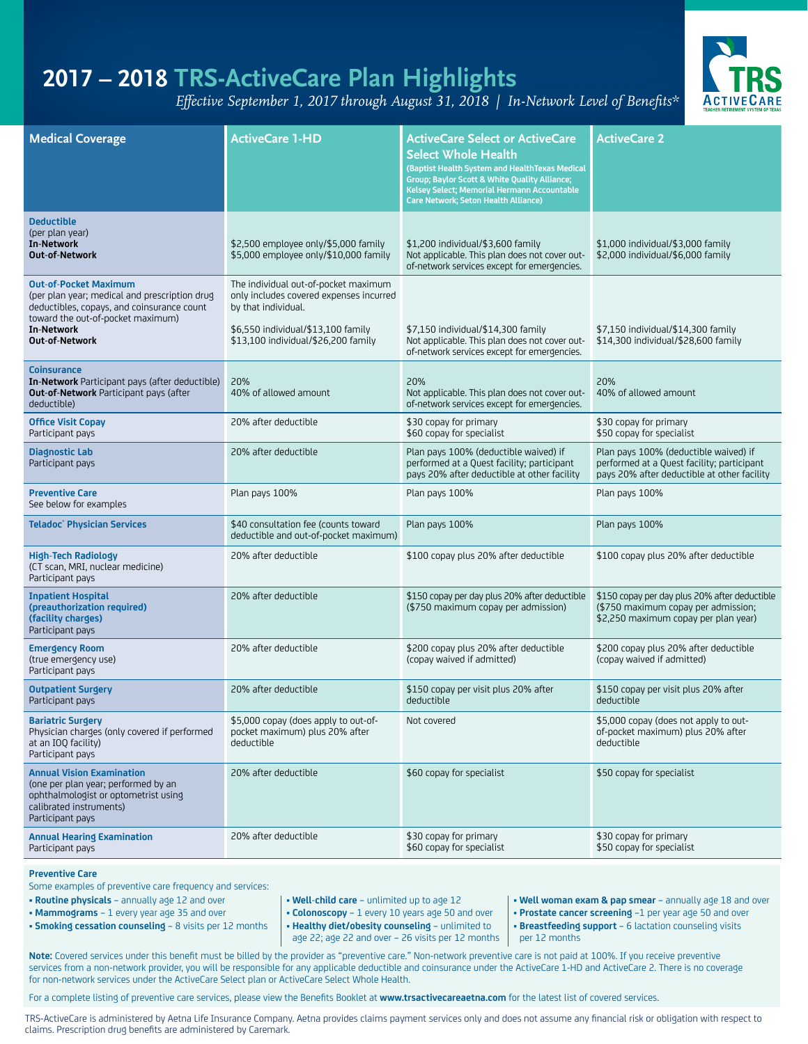# **2017 – 2018 TRS-ActiveCare Plan Highlights**

*Effective September 1, 2017 through August 31, 2018 | In-Network Level of Benefits\**



| <b>Medical Coverage</b>                                                                                                                                                                                 | <b>ActiveCare 1-HD</b>                                                                                                                                                              | <b>ActiveCare Select or ActiveCare</b><br><b>Select Whole Health</b><br>(Baptist Health System and HealthTexas Medical<br>Group; Baylor Scott & White Quality Alliance;<br>Kelsey Select; Memorial Hermann Accountable<br><b>Care Network; Seton Health Alliance)</b> | <b>ActiveCare 2</b>                                                                                                                |  |
|---------------------------------------------------------------------------------------------------------------------------------------------------------------------------------------------------------|-------------------------------------------------------------------------------------------------------------------------------------------------------------------------------------|-----------------------------------------------------------------------------------------------------------------------------------------------------------------------------------------------------------------------------------------------------------------------|------------------------------------------------------------------------------------------------------------------------------------|--|
| <b>Deductible</b><br>(per plan year)<br><b>In-Network</b><br><b>Out-of-Network</b>                                                                                                                      | \$2,500 employee only/\$5,000 family<br>\$5,000 employee only/\$10,000 family                                                                                                       | \$1,200 individual/\$3,600 family<br>Not applicable. This plan does not cover out-<br>of-network services except for emergencies.                                                                                                                                     | \$1,000 individual/\$3,000 family<br>\$2,000 individual/\$6,000 family                                                             |  |
| <b>Out-of-Pocket Maximum</b><br>(per plan year; medical and prescription drug<br>deductibles, copays, and coinsurance count<br>toward the out-of-pocket maximum)<br><b>In-Network</b><br>Out-of-Network | The individual out-of-pocket maximum<br>only includes covered expenses incurred<br>by that individual.<br>\$6,550 individual/\$13,100 family<br>\$13,100 individual/\$26,200 family | \$7,150 individual/\$14,300 family<br>Not applicable. This plan does not cover out-<br>of-network services except for emergencies.                                                                                                                                    | \$7,150 individual/\$14,300 family<br>\$14,300 individual/\$28,600 family                                                          |  |
| <b>Coinsurance</b><br>In-Network Participant pays (after deductible)<br>Out-of-Network Participant pays (after<br>deductible)                                                                           | 20%<br>40% of allowed amount                                                                                                                                                        | 20%<br>Not applicable. This plan does not cover out-<br>of-network services except for emergencies.                                                                                                                                                                   | 20%<br>40% of allowed amount                                                                                                       |  |
| <b>Office Visit Copay</b><br>Participant pays                                                                                                                                                           | 20% after deductible                                                                                                                                                                | \$30 copay for primary<br>\$60 copay for specialist                                                                                                                                                                                                                   | \$30 copay for primary<br>\$50 copay for specialist                                                                                |  |
| <b>Diagnostic Lab</b><br>Participant pays                                                                                                                                                               | 20% after deductible                                                                                                                                                                | Plan pays 100% (deductible waived) if<br>performed at a Quest facility; participant<br>pays 20% after deductible at other facility                                                                                                                                    | Plan pays 100% (deductible waived) if<br>performed at a Quest facility; participant<br>pays 20% after deductible at other facility |  |
| <b>Preventive Care</b><br>See below for examples                                                                                                                                                        | Plan pays 100%                                                                                                                                                                      | Plan pays 100%                                                                                                                                                                                                                                                        | Plan pays 100%                                                                                                                     |  |
| <b>Teladoc</b> <sup>®</sup> Physician Services                                                                                                                                                          | \$40 consultation fee (counts toward<br>deductible and out-of-pocket maximum)                                                                                                       | Plan pays 100%                                                                                                                                                                                                                                                        | Plan pays 100%                                                                                                                     |  |
| <b>High-Tech Radiology</b><br>(CT scan, MRI, nuclear medicine)<br>Participant pays                                                                                                                      | 20% after deductible                                                                                                                                                                | \$100 copay plus 20% after deductible                                                                                                                                                                                                                                 | \$100 copay plus 20% after deductible                                                                                              |  |
| <b>Inpatient Hospital</b><br>(preauthorization required)<br>(facility charges)<br>Participant pays                                                                                                      | 20% after deductible                                                                                                                                                                | \$150 copay per day plus 20% after deductible<br>(\$750 maximum copay per admission)                                                                                                                                                                                  | \$150 copay per day plus 20% after deductible<br>(\$750 maximum copay per admission;<br>\$2,250 maximum copay per plan year)       |  |
| <b>Emergency Room</b><br>(true emergency use)<br>Participant pays                                                                                                                                       | 20% after deductible                                                                                                                                                                | \$200 copay plus 20% after deductible<br>(copay waived if admitted)                                                                                                                                                                                                   | \$200 copay plus 20% after deductible<br>(copay waived if admitted)                                                                |  |
| <b>Outpatient Surgery</b><br>Participant pays                                                                                                                                                           | 20% after deductible                                                                                                                                                                | \$150 copay per visit plus 20% after<br>deductible                                                                                                                                                                                                                    | \$150 copay per visit plus 20% after<br>deductible                                                                                 |  |
| <b>Bariatric Surgery</b><br>Physician charges (only covered if performed<br>at an IOQ facility)<br>Participant pays                                                                                     | \$5,000 copay (does apply to out-of-<br>pocket maximum) plus 20% after<br>deductible                                                                                                | Not covered                                                                                                                                                                                                                                                           | \$5,000 copay (does not apply to out-<br>of-pocket maximum) plus 20% after<br>deductible                                           |  |
| <b>Annual Vision Examination</b><br>(one per plan year; performed by an<br>ophthalmologist or optometrist using<br>calibrated instruments)<br>Participant pays                                          | 20% after deductible                                                                                                                                                                | \$60 copay for specialist                                                                                                                                                                                                                                             | \$50 copay for specialist                                                                                                          |  |
| <b>Annual Hearing Examination</b><br>Participant pays                                                                                                                                                   | 20% after deductible                                                                                                                                                                | \$30 copay for primary<br>\$60 copay for specialist                                                                                                                                                                                                                   | \$30 copay for primary<br>\$50 copay for specialist                                                                                |  |

**Preventive Care**

Some examples of preventive care frequency and services:<br>• **Routine physicals** – annually age 12 and over

- **Routine physicals** annually age 12 and over  **Well-child care** unlimited up to age 12  **Well woman exam & pap smear** annually age 18 and over
- **Mammograms** 1 every year age 35 and over  **Colonoscopy** 1 every 10 years age 50 and over  **Prostate cancer screening** –1 per year age 50 and over
- **Smoking cessation counseling** 8 visits per 12 months  **Healthy diet/obesity counseling** unlimited to
- 
- - age 22; age 22 and over 26 visits per 12 months
- 
- 
- **Breastfeeding support**  6 lactation counseling visits per 12 months

**Note:** Covered services under this benefit must be billed by the provider as "preventive care." Non-network preventive care is not paid at 100%. If you receive preventive services from a non-network provider, you will be responsible for any applicable deductible and coinsurance under the ActiveCare 1-HD and ActiveCare 2. There is no coverage for non-network services under the ActiveCare Select plan or ActiveCare Select Whole Health.

For a complete listing of preventive care services, please view the Benefits Booklet at **www.trsactivecareaetna.com** for the latest list of covered services.

TRS-ActiveCare is administered by Aetna Life Insurance Company. Aetna provides claims payment services only and does not assume any financial risk or obligation with respect to claims. Prescription drug benefits are administered by Caremark.